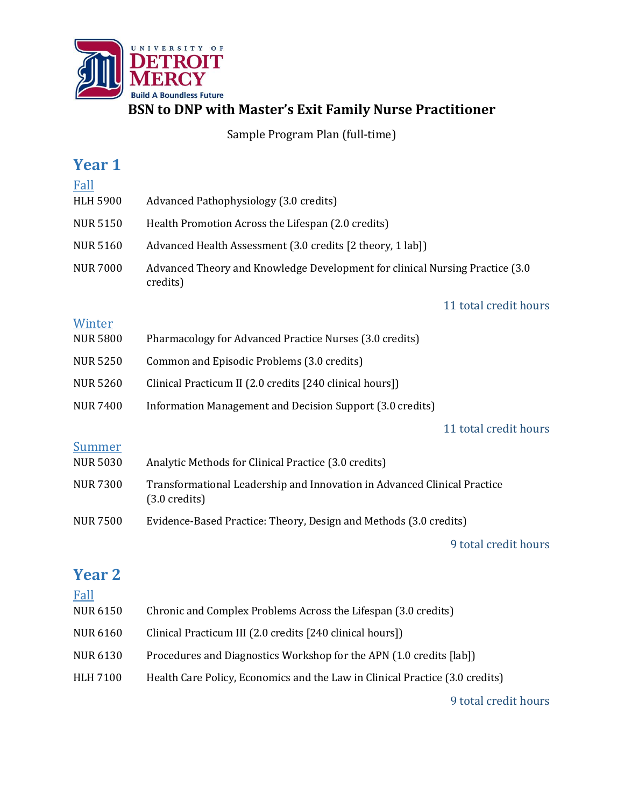

**BSN to DNP with Master's Exit Family Nurse Practitioner**

Sample Program Plan (full-time)

| <b>Year 1</b>             |                                                                                                     |
|---------------------------|-----------------------------------------------------------------------------------------------------|
| Fall<br><b>HLH 5900</b>   | Advanced Pathophysiology (3.0 credits)                                                              |
|                           |                                                                                                     |
| <b>NUR 5150</b>           | Health Promotion Across the Lifespan (2.0 credits)                                                  |
| <b>NUR 5160</b>           | Advanced Health Assessment (3.0 credits [2 theory, 1 lab])                                          |
| <b>NUR 7000</b>           | Advanced Theory and Knowledge Development for clinical Nursing Practice (3.0)<br>credits)           |
|                           | 11 total credit hours                                                                               |
| Winter<br><b>NUR 5800</b> | Pharmacology for Advanced Practice Nurses (3.0 credits)                                             |
| <b>NUR 5250</b>           | Common and Episodic Problems (3.0 credits)                                                          |
| <b>NUR 5260</b>           | Clinical Practicum II (2.0 credits [240 clinical hours])                                            |
| <b>NUR 7400</b>           | Information Management and Decision Support (3.0 credits)                                           |
|                           | 11 total credit hours                                                                               |
| Summer<br><b>NUR 5030</b> | Analytic Methods for Clinical Practice (3.0 credits)                                                |
| <b>NUR 7300</b>           | Transformational Leadership and Innovation in Advanced Clinical Practice<br>$(3.0 \text{ credits})$ |
| <b>NUR 7500</b>           | Evidence-Based Practice: Theory, Design and Methods (3.0 credits)                                   |
|                           | 9 total credit hours                                                                                |
| <b>Year 2</b><br>Fall     |                                                                                                     |
| <b>NUR 6150</b>           | Chronic and Complex Problems Across the Lifespan (3.0 credits)                                      |
| <b>NUR 6160</b>           | Clinical Practicum III (2.0 credits [240 clinical hours])                                           |

- NUR 6130 Procedures and Diagnostics Workshop for the APN (1.0 credits [lab])
- HLH 7100 Health Care Policy, Economics and the Law in Clinical Practice (3.0 credits)

9 total credit hours